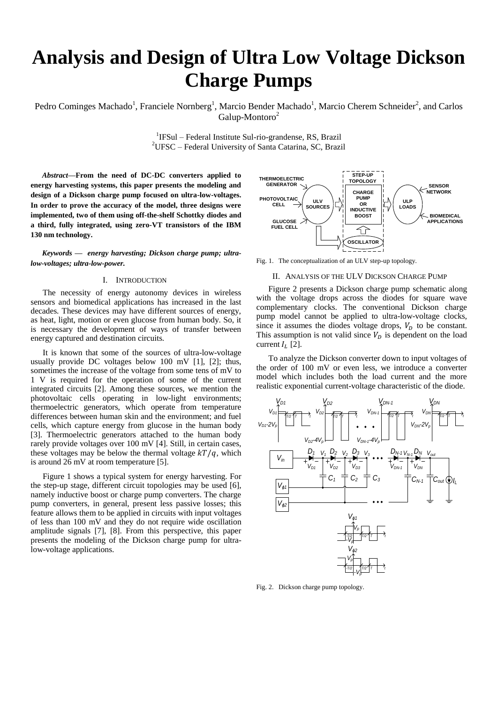# **Analysis and Design of Ultra Low Voltage Dickson Charge Pumps**

Pedro Cominges Machado<sup>1</sup>, Franciele Nornberg<sup>1</sup>, Marcio Bender Machado<sup>1</sup>, Marcio Cherem Schneider<sup>2</sup>, and Carlos Galup-Montoro<sup>2</sup>

> <sup>1</sup>IFSul – Federal Institute Sul-rio-grandense, RS, Brazil <sup>2</sup>UFSC – Federal University of Santa Catarina, SC, Brazil

*Abstract***—From the need of DC-DC converters applied to energy harvesting systems, this paper presents the modeling and design of a Dickson charge pump focused on ultra-low-voltages. In order to prove the accuracy of the model, three designs were implemented, two of them using off-the-shelf Schottky diodes and a third, fully integrated, using zero-VT transistors of the IBM 130 nm technology.**

*Keywords — energy harvesting; Dickson charge pump; ultralow-voltages; ultra-low-power.*

## I. INTRODUCTION

The necessity of energy autonomy devices in wireless sensors and biomedical applications has increased in the last decades. These devices may have different sources of energy, as heat, light, motion or even glucose from human body. So, it is necessary the development of ways of transfer between energy captured and destination circuits.

It is known that some of the sources of ultra-low-voltage usually provide DC voltages below 100 mV [1], [2]; thus, sometimes the increase of the voltage from some tens of mV to 1 V is required for the operation of some of the current integrated circuits [2]. Among these sources, we mention the photovoltaic cells operating in low-light environments; thermoelectric generators, which operate from temperature differences between human skin and the environment; and fuel cells, which capture energy from glucose in the human body [3]. Thermoelectric generators attached to the human body rarely provide voltages over 100 mV [4]. Still, in certain cases, these voltages may be below the thermal voltage  $kT/q$ , which is around 26 mV at room temperature [5].

Figure 1 shows a typical system for energy harvesting. For the step-up stage, different circuit topologies may be used [6], namely inductive boost or charge pump converters. The charge pump converters, in general, present less passive losses; this feature allows them to be applied in circuits with input voltages of less than 100 mV and they do not require wide oscillation amplitude signals [7], [8]. From this perspective, this paper presents the modeling of the Dickson charge pump for ultralow-voltage applications.



Fig. 1. The conceptualization of an ULV step-up topology.

## II. ANALYSIS OF THE ULV DICKSON CHARGE PUMP

Figure 2 presents a Dickson charge pump schematic along with the voltage drops across the diodes for square wave complementary clocks. The conventional Dickson charge pump model cannot be applied to ultra-low-voltage clocks, since it assumes the diodes voltage drops,  $V<sub>p</sub>$  to be constant. This assumption is not valid since  $V<sub>D</sub>$  is dependent on the load current  $I_L$  [2].

To analyze the Dickson converter down to input voltages of the order of 100 mV or even less, we introduce a converter model which includes both the load current and the more realistic exponential current-voltage characteristic of the diode.



Fig. 2. Dickson charge pump topology.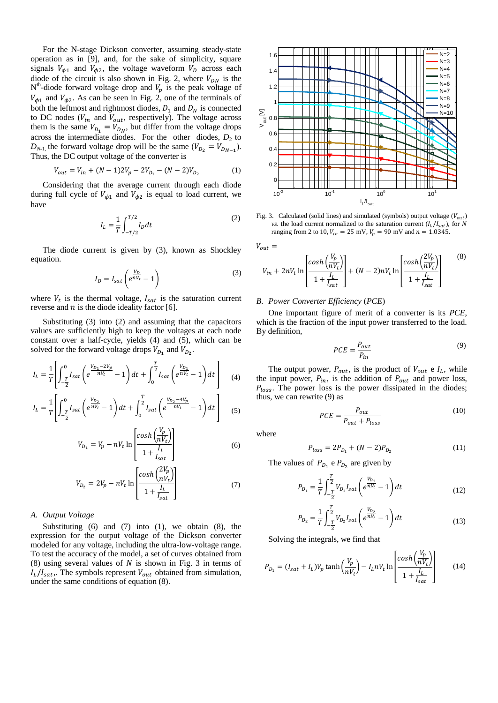For the N-stage Dickson converter, assuming steady-state operation as in [9], and, for the sake of simplicity, square signals  $V_{\phi 1}$  and  $V_{\phi 2}$ , the voltage waveform  $V_D$  across each diode of the circuit is also shown in Fig. 2, where  $V_{DN}$  is the  $N<sup>th</sup>$ -diode forward voltage drop and  $V_p$  is the peak voltage of  $V_{\phi 1}$  and  $V_{\phi 2}$ . As can be seen in Fig. 2, one of the terminals of both the leftmost and rightmost diodes,  $D_1$  and  $D_N$  is connected to DC nodes ( $V_{in}$  and  $V_{out}$ , respectively). The voltage across them is the same  $V_{D_1} = V_{D_N}$ , but differ from the voltage drops across the intermediate diodes. For the other diodes,  $D_2$  to  $D_{N-1}$ , the forward voltage drop will be the same  $(V_{D_2} = V_{D_{N-1}})$ . Thus, the DC output voltage of the converter is

$$
V_{out} = V_{in} + (N-1)2V_p - 2V_{D_1} - (N-2)V_{D_2}
$$
 (1)

Considering that the average current through each diode during full cycle of  $V_{\phi 1}$  and  $V_{\phi 2}$  is equal to load current, we have

$$
I_L = \frac{1}{T} \int_{-T/2}^{T/2} I_D dt
$$
 (2)

The diode current is given by (3), known as Shockley equation.

$$
I_D = I_{sat} \left( e^{\frac{V_D}{nV_t}} - 1 \right) \tag{3}
$$

where  $V_t$  is the thermal voltage,  $I_{sat}$  is the saturation current reverse and  $n$  is the diode ideality factor [6].

Substituting (3) into (2) and assuming that the capacitors values are sufficiently high to keep the voltages at each node constant over a half-cycle, yields (4) and (5), which can be solved for the forward voltage drops  $V_{D_1}$  and  $V_{D_2}$ .

$$
I_L = \frac{1}{T} \left[ \int_{-\frac{T}{2}}^0 I_{sat} \left( e^{\frac{V_{D_1} - 2V_p}{nV_t}} - 1 \right) dt + \int_0^{\frac{T}{2}} I_{sat} \left( e^{\frac{V_{D_1}}{nV_t}} - 1 \right) dt \right]
$$
(4)

$$
I_{L} = \frac{1}{T} \left[ \int_{-\frac{T}{2}}^{0} I_{sat} \left( e^{\frac{V_{D_{2}}}{nV_{t}}} - 1 \right) dt + \int_{0}^{\frac{T}{2}} I_{sat} \left( e^{\frac{V_{D_{2}} - 4V_{p}}{nV_{t}}} - 1 \right) dt \right]
$$
(5)

$$
V_{D_1} = V_p - nV_t \ln \left[ \frac{\cosh \left( \frac{V_p}{nV_t} \right)}{1 + \frac{I_L}{I_{sat}}} \right] \tag{6}
$$

$$
V_{D_2} = 2V_p - nV_t \ln \left[ \frac{\cosh\left(\frac{2V_p}{nV_t}\right)}{1 + \frac{I_L}{I_{sat}}} \right]
$$
(7)

# *A. Output Voltage*

Substituting  $(6)$  and  $(7)$  into  $(1)$ , we obtain  $(8)$ , the expression for the output voltage of the Dickson converter modeled for any voltage, including the ultra-low-voltage range. To test the accuracy of the model, a set of curves obtained from (8) using several values of  $N$  is shown in Fig. 3 in terms of  $I_L/I_{sat}$ . The symbols represent  $V_{out}$  obtained from simulation, under the same conditions of equation (8).



Fig. 3. Calculated (solid lines) and simulated (symbols) output voltage  $(V_{out})$ *vs.* the load current normalized to the saturation current  $(I_L/I_{sat})$ , for N ranging from 2 to 10,  $V_{in} = 25$  mV,  $V_p = 90$  mV and  $n = 1.0345$ .

 $V_{out} =$ 

$$
V_{in} + 2nV_t \ln \left[ \frac{\cosh\left(\frac{V_p}{nV_t}\right)}{1 + \frac{I_L}{I_{sat}}} \right] + (N - 2)nV_t \ln \left[ \frac{\cosh\left(\frac{2V_p}{nV_t}\right)}{1 + \frac{I_L}{I_{sat}}} \right] \tag{8}
$$

## *B. Power Converter Efficiency* (*PCE*)

One important figure of merit of a converter is its *PCE*, which is the fraction of the input power transferred to the load. By definition,

$$
PCE = \frac{P_{out}}{P_{in}} \tag{9}
$$

The output power,  $P_{out}$ , is the product of  $V_{out}$  e  $I_L$ , while the input power,  $P_{in}$ , is the addition of  $P_{out}$  and power loss,  $P_{loss}$ . The power loss is the power dissipated in the diodes; thus, we can rewrite (9) as

$$
PCE = \frac{P_{out}}{P_{out} + P_{loss}}
$$
(10)

where

$$
P_{loss} = 2P_{D_1} + (N - 2)P_{D_2}
$$
 (11)

The values of  $P_{D_1}$  e  $P_{D_2}$  are given by

$$
P_{D_1} = \frac{1}{T} \int_{-\frac{T}{2}}^{\frac{T}{2}} V_{D_1} I_{sat} \left( e^{\frac{V_{D_1}}{nV_t}} - 1 \right) dt \tag{12}
$$

$$
P_{D_2} = \frac{1}{T} \int_{-\frac{T}{2}}^{\frac{T}{2}} V_{D_2} I_{sat} \left( e^{\frac{V_{D_2}}{nV_t}} - 1 \right) dt \tag{13}
$$

Solving the integrals, we find that

$$
P_{D_1} = (I_{sat} + I_L)V_p \tanh\left(\frac{V_p}{nV_t}\right) - I_L nV_t \ln\left[\frac{\cosh\left(\frac{V_p}{nV_t}\right)}{1 + \frac{I_L}{I_{sat}}}\right] \tag{14}
$$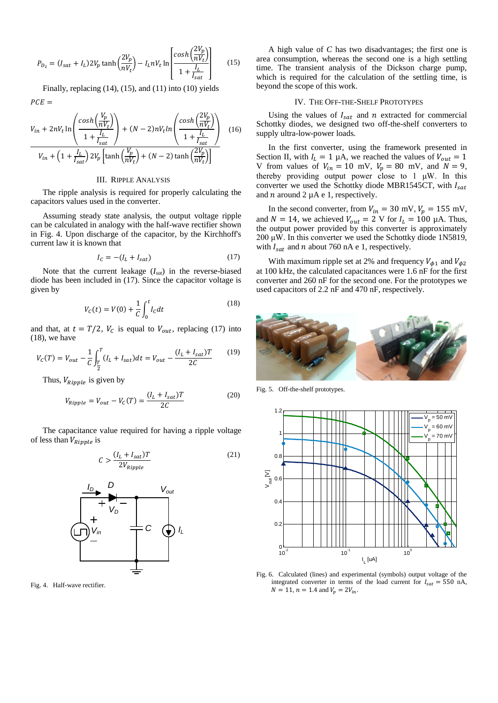$$
P_{D_2} = (I_{sat} + I_L) 2V_p \tanh\left(\frac{2V_p}{nV_t}\right) - I_L nV_t \ln\left[\frac{\cosh\left(\frac{2V_p}{nV_t}\right)}{1 + \frac{I_L}{I_{sat}}}\right] \tag{15}
$$

Finally, replacing  $(14)$ ,  $(15)$ , and  $(11)$  into  $(10)$  yields  $PCE =$ 

$$
V_{in} + 2nV_t \ln \left( \frac{\cosh\left(\frac{V_p}{nV_t}\right)}{1 + \frac{I_L}{I_{sat}}} \right) + (N - 2)nV_t \ln \left( \frac{\cosh\left(\frac{2V_p}{nV_t}\right)}{1 + \frac{I_L}{I_{sat}}} \right) \quad (16)
$$

$$
V_{in} + \left(1 + \frac{I_L}{I_{sat}}\right) 2V_p \left[ \tanh\left(\frac{V_p}{nV_t}\right) + (N - 2) \tanh\left(\frac{2V_p}{nV_t}\right) \right]
$$

# III. RIPPLE ANALYSIS

The ripple analysis is required for properly calculating the capacitors values used in the converter.

Assuming steady state analysis, the output voltage ripple can be calculated in analogy with the half-wave rectifier shown in Fig. 4. Upon discharge of the capacitor, by the Kirchhoff's current law it is known that

$$
I_C = -(I_L + I_{sat})\tag{17}
$$

Note that the current leakage (*Isat*) in the reverse-biased diode has been included in (17). Since the capacitor voltage is given by

$$
V_C(t) = V(0) + \frac{1}{C} \int_0^t I_C dt
$$
 (18)

and that, at  $t = T/2$ ,  $V_c$  is equal to  $V_{out}$ , replacing (17) into  $(18)$ , we have

$$
V_C(T) = V_{out} - \frac{1}{C} \int_{\frac{T}{2}}^{T} (I_L + I_{sat}) dt = V_{out} - \frac{(I_L + I_{sat})T}{2C}
$$
 (19)

Thus,  $V_{Ripple}$  is given by

$$
V_{Ripple} = V_{out} - V_c(T) = \frac{(I_L + I_{sat})T}{2C}
$$
\n<sup>(20)</sup>

The capacitance value required for having a ripple voltage of less than  $V_{Ripple}$  is

$$
C > \frac{(I_L + I_{sat})T}{2V_{Ripple}}\tag{21}
$$



Fig. 4. Half-wave rectifier.

A high value of *C* has two disadvantages; the first one is area consumption, whereas the second one is a high settling time. The transient analysis of the Dickson charge pump, which is required for the calculation of the settling time, is beyond the scope of this work.

#### IV. THE OFF-THE-SHELF PROTOTYPES

Using the values of  $I_{sat}$  and n extracted for commercial Schottky diodes, we designed two off-the-shelf converters to supply ultra-low-power loads.

In the first converter, using the framework presented in Section II, with  $I_L = 1 \mu A$ , we reached the values of  $V_{out} = 1$ V from values of  $V_{in} = 10$  mV,  $V_p = 80$  mV, and  $N = 9$ , thereby providing output power close to 1 μW. In this converter we used the Schottky diode MBR1545CT, with  $I_{sat}$ and  $n$  around 2  $\mu$ A e 1, respectively.

In the second converter, from  $V_{in} = 30$  mV,  $V_p = 155$  mV, and  $N = 14$ , we achieved  $V_{out} = 2$  V for  $I_L = 100$  µA. Thus, the output power provided by this converter is approximately 200  $\mu$ W. In this converter we used the Schottky diode 1N5819, with  $I_{sat}$  and n about 760 nA e 1, respectively.

With maximum ripple set at 2% and frequency  $V_{\phi 1}$  and  $V_{\phi 2}$ at 100 kHz, the calculated capacitances were 1.6 nF for the first converter and 260 nF for the second one. For the prototypes we used capacitors of 2.2 nF and 470 nF, respectively.



Fig. 5. Off-the-shelf prototypes.



Fig. 6. Calculated (lines) and experimental (symbols) output voltage of the integrated converter in terms of the load current for  $I_{sat} = 550$  nA,  $N = 11$ ,  $n = 1.4$  and  $V_n = 2V_{in}$ .